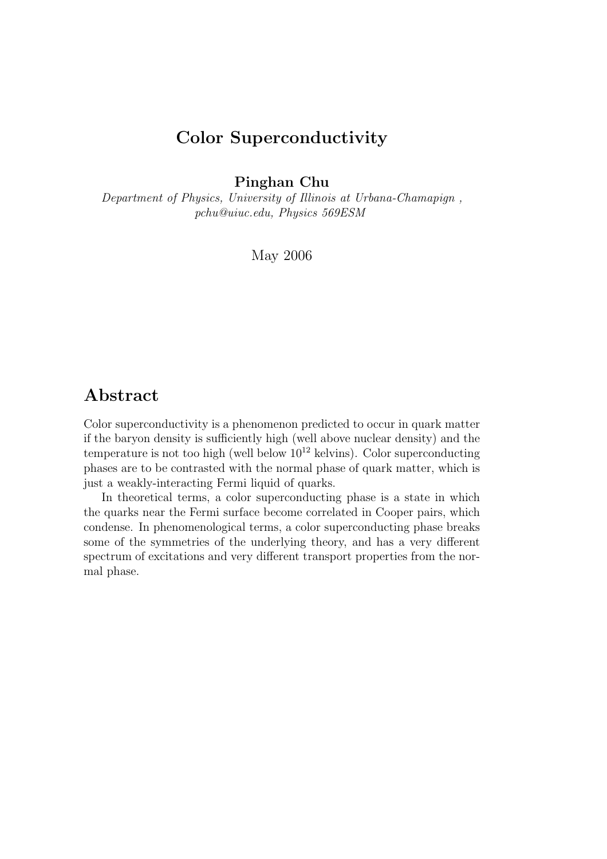# Color Superconductivity

Pinghan Chu

Department of Physics, University of Illinois at Urbana-Chamapign , pchu@uiuc.edu, Physics 569ESM

May 2006

## Abstract

Color superconductivity is a phenomenon predicted to occur in quark matter if the baryon density is sufficiently high (well above nuclear density) and the temperature is not too high (well below  $10^{12}$  kelvins). Color superconducting phases are to be contrasted with the normal phase of quark matter, which is just a weakly-interacting Fermi liquid of quarks.

In theoretical terms, a color superconducting phase is a state in which the quarks near the Fermi surface become correlated in Cooper pairs, which condense. In phenomenological terms, a color superconducting phase breaks some of the symmetries of the underlying theory, and has a very different spectrum of excitations and very different transport properties from the normal phase.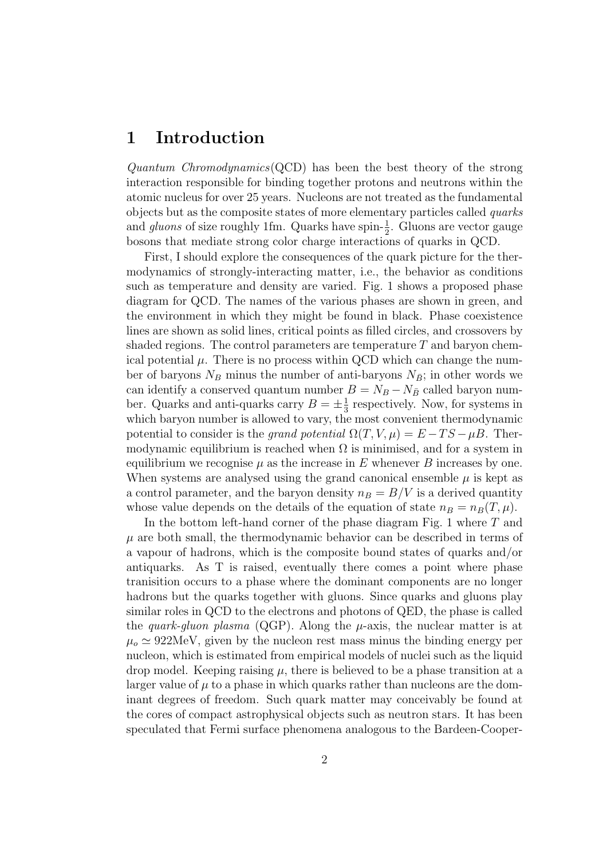### 1 Introduction

Quantum Chromodynamics (QCD) has been the best theory of the strong interaction responsible for binding together protons and neutrons within the atomic nucleus for over 25 years. Nucleons are not treated as the fundamental objects but as the composite states of more elementary particles called quarks and gluons of size roughly 1fm. Quarks have spin- $\frac{1}{2}$ . Gluons are vector gauge bosons that mediate strong color charge interactions of quarks in QCD.

First, I should explore the consequences of the quark picture for the thermodynamics of strongly-interacting matter, i.e., the behavior as conditions such as temperature and density are varied. Fig. 1 shows a proposed phase diagram for QCD. The names of the various phases are shown in green, and the environment in which they might be found in black. Phase coexistence lines are shown as solid lines, critical points as filled circles, and crossovers by shaded regions. The control parameters are temperature  $T$  and baryon chemical potential  $\mu$ . There is no process within QCD which can change the number of baryons  $N_B$  minus the number of anti-baryons  $N_{\bar{B}}$ ; in other words we can identify a conserved quantum number  $B = N_B - N_{\bar{B}}$  called baryon number. Quarks and anti-quarks carry  $B = \pm \frac{1}{3}$  $\frac{1}{3}$  respectively. Now, for systems in which baryon number is allowed to vary, the most convenient thermodynamic potential to consider is the grand potential  $\Omega(T, V, \mu) = E - TS - \mu B$ . Thermodynamic equilibrium is reached when  $\Omega$  is minimised, and for a system in equilibrium we recognise  $\mu$  as the increase in E whenever B increases by one. When systems are analysed using the grand canonical ensemble  $\mu$  is kept as a control parameter, and the baryon density  $n_B = B/V$  is a derived quantity whose value depends on the details of the equation of state  $n_B = n_B(T,\mu)$ .

In the bottom left-hand corner of the phase diagram Fig. 1 where T and  $\mu$  are both small, the thermodynamic behavior can be described in terms of a vapour of hadrons, which is the composite bound states of quarks and/or antiquarks. As T is raised, eventually there comes a point where phase tranisition occurs to a phase where the dominant components are no longer hadrons but the quarks together with gluons. Since quarks and gluons play similar roles in QCD to the electrons and photons of QED, the phase is called the *quark-gluon plasma* (QGP). Along the  $\mu$ -axis, the nuclear matter is at  $\mu_{o} \simeq 922 \text{MeV}$ , given by the nucleon rest mass minus the binding energy per nucleon, which is estimated from empirical models of nuclei such as the liquid drop model. Keeping raising  $\mu$ , there is believed to be a phase transition at a larger value of  $\mu$  to a phase in which quarks rather than nucleons are the dominant degrees of freedom. Such quark matter may conceivably be found at the cores of compact astrophysical objects such as neutron stars. It has been speculated that Fermi surface phenomena analogous to the Bardeen-Cooper-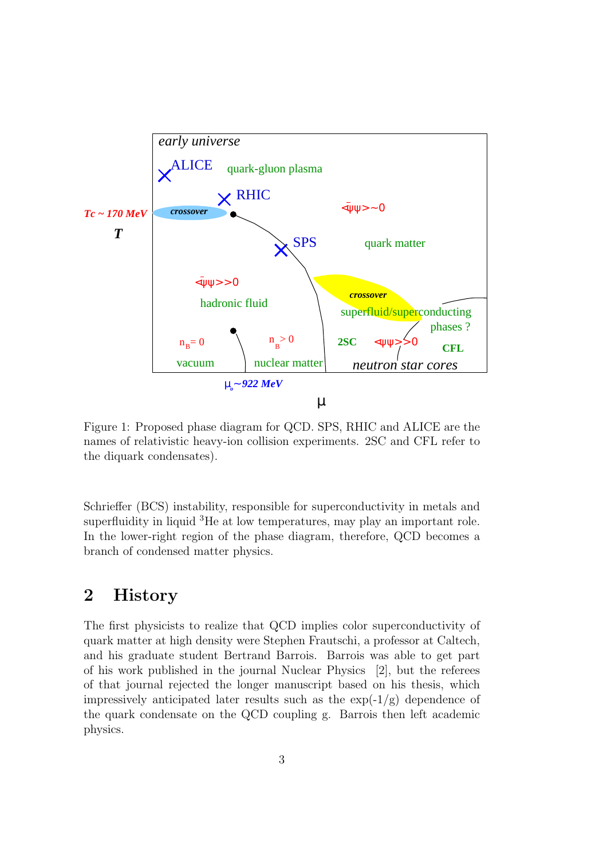

Figure 1: Proposed phase diagram for QCD. SPS, RHIC and ALICE are the names of relativistic heavy-ion collision experiments. 2SC and CFL refer to the diquark condensates).

Schrieffer (BCS) instability, responsible for superconductivity in metals and superfluidity in liquid <sup>3</sup>He at low temperatures, may play an important role. In the lower-right region of the phase diagram, therefore, QCD becomes a branch of condensed matter physics.

## 2 History

The first physicists to realize that QCD implies color superconductivity of quark matter at high density were Stephen Frautschi, a professor at Caltech, and his graduate student Bertrand Barrois. Barrois was able to get part of his work published in the journal Nuclear Physics [2], but the referees of that journal rejected the longer manuscript based on his thesis, which impressively anticipated later results such as the  $\exp(-1/g)$  dependence of the quark condensate on the QCD coupling g. Barrois then left academic physics.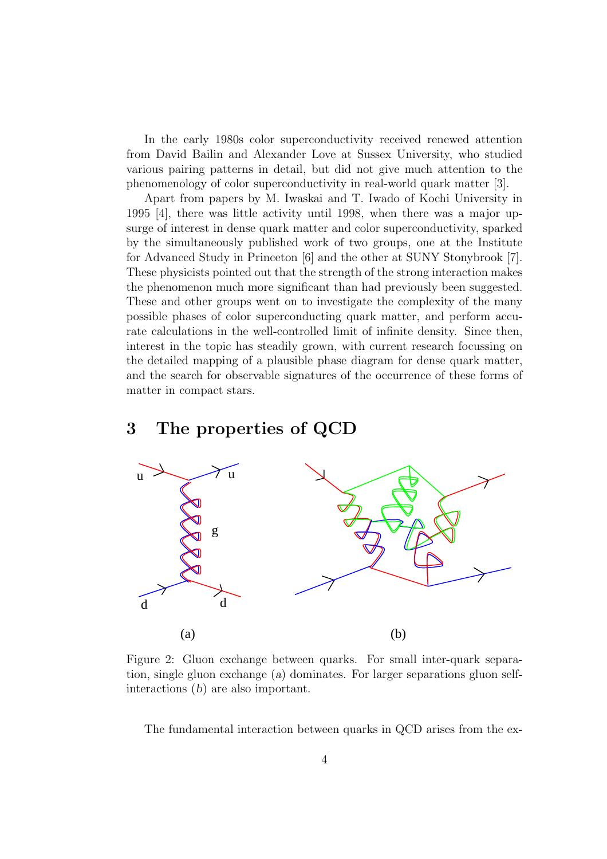In the early 1980s color superconductivity received renewed attention from David Bailin and Alexander Love at Sussex University, who studied various pairing patterns in detail, but did not give much attention to the phenomenology of color superconductivity in real-world quark matter [3].

Apart from papers by M. Iwaskai and T. Iwado of Kochi University in 1995 [4], there was little activity until 1998, when there was a major upsurge of interest in dense quark matter and color superconductivity, sparked by the simultaneously published work of two groups, one at the Institute for Advanced Study in Princeton [6] and the other at SUNY Stonybrook [7]. These physicists pointed out that the strength of the strong interaction makes the phenomenon much more significant than had previously been suggested. These and other groups went on to investigate the complexity of the many possible phases of color superconducting quark matter, and perform accurate calculations in the well-controlled limit of infinite density. Since then, interest in the topic has steadily grown, with current research focussing on the detailed mapping of a plausible phase diagram for dense quark matter, and the search for observable signatures of the occurrence of these forms of matter in compact stars.

#### 3 The properties of QCD



Figure 2: Gluon exchange between quarks. For small inter-quark separation, single gluon exchange (a) dominates. For larger separations gluon selfinteractions (b) are also important.

The fundamental interaction between quarks in QCD arises from the ex-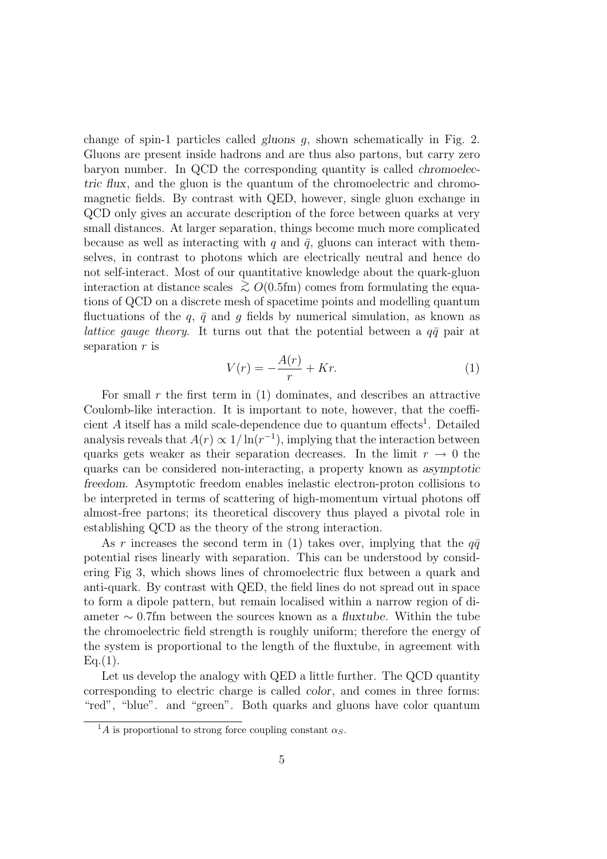change of spin-1 particles called gluons  $q$ , shown schematically in Fig. 2. Gluons are present inside hadrons and are thus also partons, but carry zero baryon number. In QCD the corresponding quantity is called chromoelectric flux, and the gluon is the quantum of the chromoelectric and chromomagnetic fields. By contrast with QED, however, single gluon exchange in QCD only gives an accurate description of the force between quarks at very small distances. At larger separation, things become much more complicated because as well as interacting with q and  $\bar{q}$ , gluons can interact with themselves, in contrast to photons which are electrically neutral and hence do not self-interact. Most of our quantitative knowledge about the quark-gluon interaction at distance scales  $\geq O(0.5$ fm) comes from formulating the equations of QCD on a discrete mesh of spacetime points and modelling quantum fluctuations of the q,  $\bar{q}$  and g fields by numerical simulation, as known as lattice gauge theory. It turns out that the potential between a  $q\bar{q}$  pair at separation  $r$  is

$$
V(r) = -\frac{A(r)}{r} + Kr.\tag{1}
$$

For small  $r$  the first term in (1) dominates, and describes an attractive Coulomb-like interaction. It is important to note, however, that the coefficient  $A$  itself has a mild scale-dependence due to quantum effects<sup>1</sup>. Detailed analysis reveals that  $A(r) \propto 1/\ln(r^{-1})$ , implying that the interaction between quarks gets weaker as their separation decreases. In the limit  $r \to 0$  the quarks can be considered non-interacting, a property known as asymptotic freedom. Asymptotic freedom enables inelastic electron-proton collisions to be interpreted in terms of scattering of high-momentum virtual photons off almost-free partons; its theoretical discovery thus played a pivotal role in establishing QCD as the theory of the strong interaction.

As r increases the second term in (1) takes over, implying that the  $q\bar{q}$ potential rises linearly with separation. This can be understood by considering Fig 3, which shows lines of chromoelectric flux between a quark and anti-quark. By contrast with QED, the field lines do not spread out in space to form a dipole pattern, but remain localised within a narrow region of diameter  $\sim 0.7$ fm between the sources known as a fluxtube. Within the tube the chromoelectric field strength is roughly uniform; therefore the energy of the system is proportional to the length of the fluxtube, in agreement with  $Eq.(1).$ 

Let us develop the analogy with QED a little further. The QCD quantity corresponding to electric charge is called color, and comes in three forms: "red", "blue". and "green". Both quarks and gluons have color quantum

<sup>&</sup>lt;sup>1</sup>A is proportional to strong force coupling constant  $\alpha_S$ .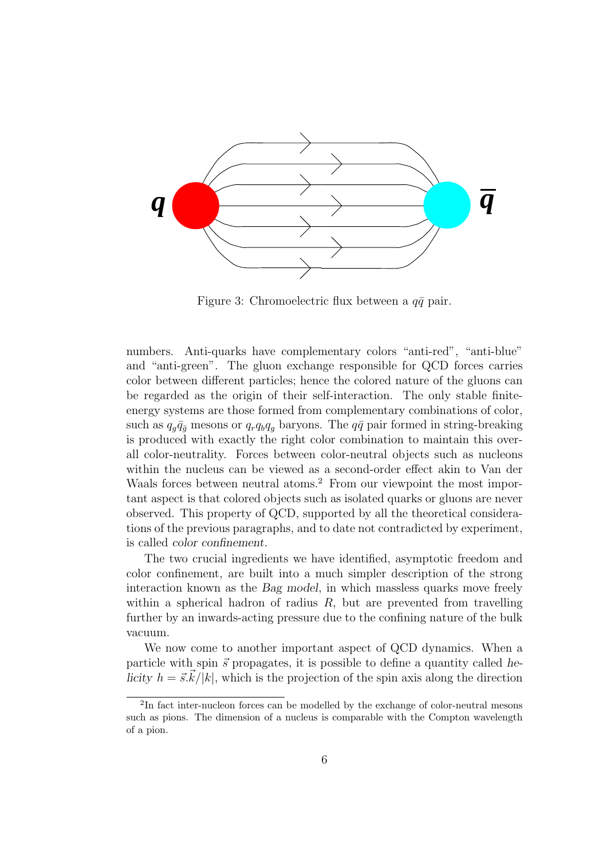

Figure 3: Chromoelectric flux between a  $q\bar{q}$  pair.

numbers. Anti-quarks have complementary colors "anti-red", "anti-blue" and "anti-green". The gluon exchange responsible for QCD forces carries color between different particles; hence the colored nature of the gluons can be regarded as the origin of their self-interaction. The only stable finiteenergy systems are those formed from complementary combinations of color, such as  $q_g\bar{q}_{\bar{g}}$  mesons or  $q_rq_bq_g$  baryons. The  $q\bar{q}$  pair formed in string-breaking is produced with exactly the right color combination to maintain this overall color-neutrality. Forces between color-neutral objects such as nucleons within the nucleus can be viewed as a second-order effect akin to Van der Waals forces between neutral atoms.<sup>2</sup> From our viewpoint the most important aspect is that colored objects such as isolated quarks or gluons are never observed. This property of QCD, supported by all the theoretical considerations of the previous paragraphs, and to date not contradicted by experiment, is called color confinement.

The two crucial ingredients we have identified, asymptotic freedom and color confinement, are built into a much simpler description of the strong interaction known as the Bag model, in which massless quarks move freely within a spherical hadron of radius  $R$ , but are prevented from travelling further by an inwards-acting pressure due to the confining nature of the bulk vacuum.

We now come to another important aspect of QCD dynamics. When a particle with spin  $\vec{s}$  propagates, it is possible to define a quantity called helicity  $h = \vec{s}.\vec{k}/|\vec{k}|$ , which is the projection of the spin axis along the direction

<sup>&</sup>lt;sup>2</sup>In fact inter-nucleon forces can be modelled by the exchange of color-neutral mesons such as pions. The dimension of a nucleus is comparable with the Compton wavelength of a pion.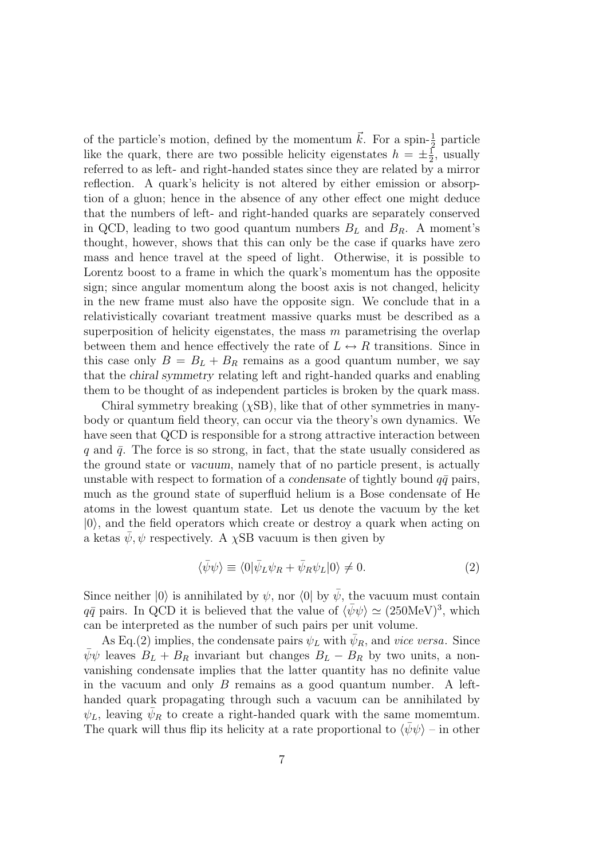of the particle's motion, defined by the momentum  $\vec{k}$ . For a spin- $\frac{1}{2}$  particle like the quark, there are two possible helicity eigenstates  $h = \pm \frac{1}{2}$  $\frac{1}{2}$ , usually referred to as left- and right-handed states since they are related by a mirror reflection. A quark's helicity is not altered by either emission or absorption of a gluon; hence in the absence of any other effect one might deduce that the numbers of left- and right-handed quarks are separately conserved in QCD, leading to two good quantum numbers  $B_L$  and  $B_R$ . A moment's thought, however, shows that this can only be the case if quarks have zero mass and hence travel at the speed of light. Otherwise, it is possible to Lorentz boost to a frame in which the quark's momentum has the opposite sign; since angular momentum along the boost axis is not changed, helicity in the new frame must also have the opposite sign. We conclude that in a relativistically covariant treatment massive quarks must be described as a superposition of helicity eigenstates, the mass  $m$  parametrising the overlap between them and hence effectively the rate of  $L \leftrightarrow R$  transitions. Since in this case only  $B = B_L + B_R$  remains as a good quantum number, we say that the chiral symmetry relating left and right-handed quarks and enabling them to be thought of as independent particles is broken by the quark mass.

Chiral symmetry breaking  $(\chi$ SB), like that of other symmetries in manybody or quantum field theory, can occur via the theory's own dynamics. We have seen that QCD is responsible for a strong attractive interaction between q and  $\bar{q}$ . The force is so strong, in fact, that the state usually considered as the ground state or vacuum, namely that of no particle present, is actually unstable with respect to formation of a condensate of tightly bound  $q\bar{q}$  pairs, much as the ground state of superfluid helium is a Bose condensate of He atoms in the lowest quantum state. Let us denote the vacuum by the ket  $|0\rangle$ , and the field operators which create or destroy a quark when acting on a ketas  $\psi, \psi$  respectively. A  $\chi$ SB vacuum is then given by

$$
\langle \bar{\psi}\psi \rangle \equiv \langle 0|\bar{\psi}_L \psi_R + \bar{\psi}_R \psi_L |0\rangle \neq 0. \tag{2}
$$

Since neither  $|0\rangle$  is annihilated by  $\psi$ , nor  $\langle 0|$  by  $\bar{\psi}$ , the vacuum must contain  $q\bar{q}$  pairs. In QCD it is believed that the value of  $\langle \bar{\psi}\psi \rangle \simeq (250 \text{MeV})^3$ , which can be interpreted as the number of such pairs per unit volume.

As Eq.(2) implies, the condensate pairs  $\psi_L$  with  $\bar{\psi}_R$ , and vice versa. Since  $\bar{\psi}\psi$  leaves  $B_L + B_R$  invariant but changes  $B_L - B_R$  by two units, a nonvanishing condensate implies that the latter quantity has no definite value in the vacuum and only  $B$  remains as a good quantum number. A lefthanded quark propagating through such a vacuum can be annihilated by  $\psi_L$ , leaving  $\bar{\psi}_R$  to create a right-handed quark with the same momemtum. The quark will thus flip its helicity at a rate proportional to  $\langle \psi \psi \rangle$  – in other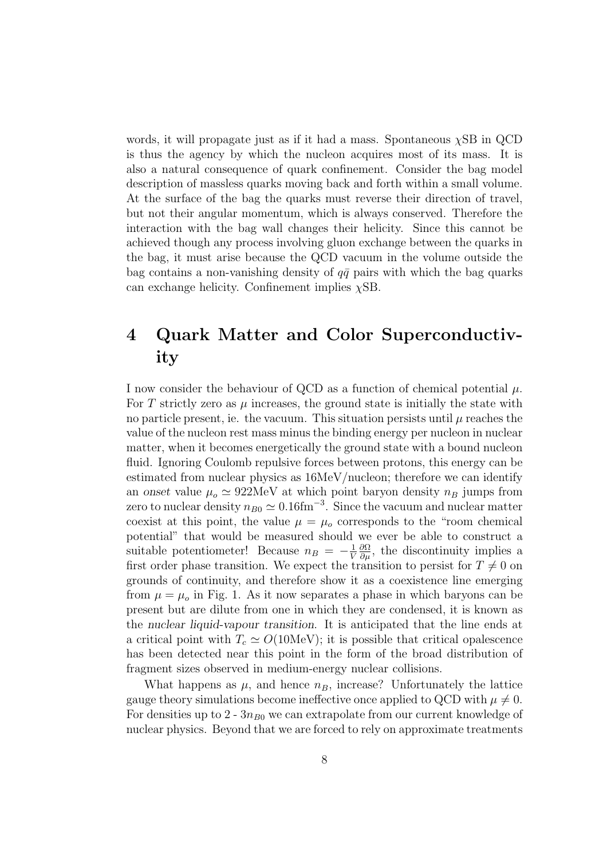words, it will propagate just as if it had a mass. Spontaneous  $\chi$ SB in QCD is thus the agency by which the nucleon acquires most of its mass. It is also a natural consequence of quark confinement. Consider the bag model description of massless quarks moving back and forth within a small volume. At the surface of the bag the quarks must reverse their direction of travel, but not their angular momentum, which is always conserved. Therefore the interaction with the bag wall changes their helicity. Since this cannot be achieved though any process involving gluon exchange between the quarks in the bag, it must arise because the QCD vacuum in the volume outside the bag contains a non-vanishing density of  $q\bar{q}$  pairs with which the bag quarks can exchange helicity. Confinement implies  $\chi$ SB.

# 4 Quark Matter and Color Superconductivity

I now consider the behaviour of QCD as a function of chemical potential  $\mu$ . For T strictly zero as  $\mu$  increases, the ground state is initially the state with no particle present, ie. the vacuum. This situation persists until  $\mu$  reaches the value of the nucleon rest mass minus the binding energy per nucleon in nuclear matter, when it becomes energetically the ground state with a bound nucleon fluid. Ignoring Coulomb repulsive forces between protons, this energy can be estimated from nuclear physics as 16MeV/nucleon; therefore we can identify an onset value  $\mu_o \simeq 922 \text{MeV}$  at which point baryon density  $n_B$  jumps from zero to nuclear density  $n_{B0} \simeq 0.16 \text{fm}^{-3}$ . Since the vacuum and nuclear matter coexist at this point, the value  $\mu = \mu_0$  corresponds to the "room chemical potential" that would be measured should we ever be able to construct a suitable potentiometer! Because  $n_B = -\frac{1}{V}$ V  $\frac{\partial \Omega}{\partial \mu}$ , the discontinuity implies a first order phase transition. We expect the transition to persist for  $T \neq 0$  on grounds of continuity, and therefore show it as a coexistence line emerging from  $\mu = \mu_o$  in Fig. 1. As it now separates a phase in which baryons can be present but are dilute from one in which they are condensed, it is known as the nuclear liquid-vapour transition. It is anticipated that the line ends at a critical point with  $T_c \simeq O(10 \text{MeV})$ ; it is possible that critical opalescence has been detected near this point in the form of the broad distribution of fragment sizes observed in medium-energy nuclear collisions.

What happens as  $\mu$ , and hence  $n_B$ , increase? Unfortunately the lattice gauge theory simulations become ineffective once applied to QCD with  $\mu \neq 0$ . For densities up to 2 -  $3n_{B0}$  we can extrapolate from our current knowledge of nuclear physics. Beyond that we are forced to rely on approximate treatments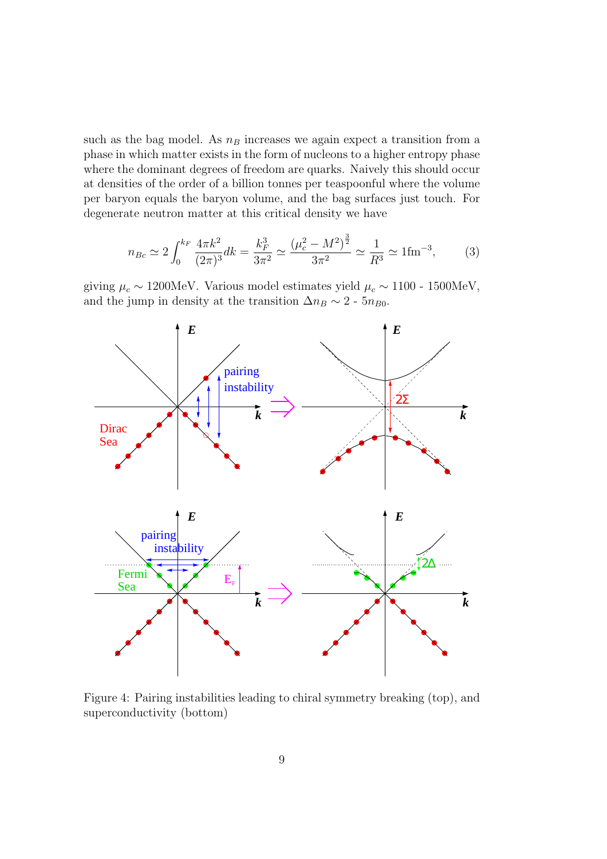such as the bag model. As  $n_B$  increases we again expect a transition from a phase in which matter exists in the form of nucleons to a higher entropy phase where the dominant degrees of freedom are quarks. Naively this should occur at densities of the order of a billion tonnes per teaspoonful where the volume per baryon equals the baryon volume, and the bag surfaces just touch. For degenerate neutron matter at this critical density we have

$$
n_{Bc} \simeq 2 \int_0^{k_F} \frac{4\pi k^2}{(2\pi)^3} dk = \frac{k_F^3}{3\pi^2} \simeq \frac{(\mu_c^2 - M^2)^{\frac{3}{2}}}{3\pi^2} \simeq \frac{1}{R^3} \simeq 1 \text{fm}^{-3},\tag{3}
$$

giving  $μ<sub>c</sub> ~ 1200MeV$ . Various model estimates yield  $μ<sub>c</sub> ~ 1100 - 1500MeV$ , and the jump in density at the transition  $\Delta n_B \sim 2$  - 5 $n_{B0}$ .



Figure 4: Pairing instabilities leading to chiral symmetry breaking (top), and superconductivity (bottom)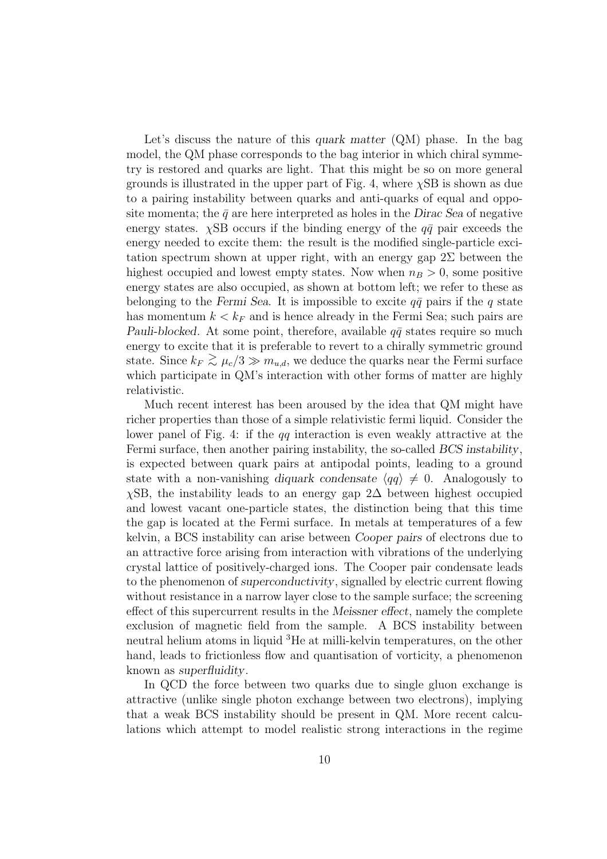Let's discuss the nature of this *quark matter* (QM) phase. In the bag model, the QM phase corresponds to the bag interior in which chiral symmetry is restored and quarks are light. That this might be so on more general grounds is illustrated in the upper part of Fig. 4, where  $\chi$ SB is shown as due to a pairing instability between quarks and anti-quarks of equal and opposite momenta; the  $\bar{q}$  are here interpreted as holes in the Dirac Sea of negative energy states.  $\chi$ SB occurs if the binding energy of the  $q\bar{q}$  pair exceeds the energy needed to excite them: the result is the modified single-particle excitation spectrum shown at upper right, with an energy gap  $2\Sigma$  between the highest occupied and lowest empty states. Now when  $n_B > 0$ , some positive energy states are also occupied, as shown at bottom left; we refer to these as belonging to the Fermi Sea. It is impossible to excite  $q\bar{q}$  pairs if the q state has momentum  $k < k_F$  and is hence already in the Fermi Sea; such pairs are Pauli-blocked. At some point, therefore, available  $q\bar{q}$  states require so much energy to excite that it is preferable to revert to a chirally symmetric ground state. Since  $k_F \gtrsim \mu_c/3 \gg m_{u,d}$ , we deduce the quarks near the Fermi surface which participate in QM's interaction with other forms of matter are highly relativistic.

Much recent interest has been aroused by the idea that QM might have richer properties than those of a simple relativistic fermi liquid. Consider the lower panel of Fig. 4: if the qq interaction is even weakly attractive at the Fermi surface, then another pairing instability, the so-called BCS instability, is expected between quark pairs at antipodal points, leading to a ground state with a non-vanishing diquark condensate  $\langle qq \rangle \neq 0$ . Analogously to  $\chi$ SB, the instability leads to an energy gap 2∆ between highest occupied and lowest vacant one-particle states, the distinction being that this time the gap is located at the Fermi surface. In metals at temperatures of a few kelvin, a BCS instability can arise between Cooper pairs of electrons due to an attractive force arising from interaction with vibrations of the underlying crystal lattice of positively-charged ions. The Cooper pair condensate leads to the phenomenon of superconductivity, signalled by electric current flowing without resistance in a narrow layer close to the sample surface; the screening effect of this supercurrent results in the Meissner effect, namely the complete exclusion of magnetic field from the sample. A BCS instability between neutral helium atoms in liquid <sup>3</sup>He at milli-kelvin temperatures, on the other hand, leads to frictionless flow and quantisation of vorticity, a phenomenon known as superfluidity.

In QCD the force between two quarks due to single gluon exchange is attractive (unlike single photon exchange between two electrons), implying that a weak BCS instability should be present in QM. More recent calculations which attempt to model realistic strong interactions in the regime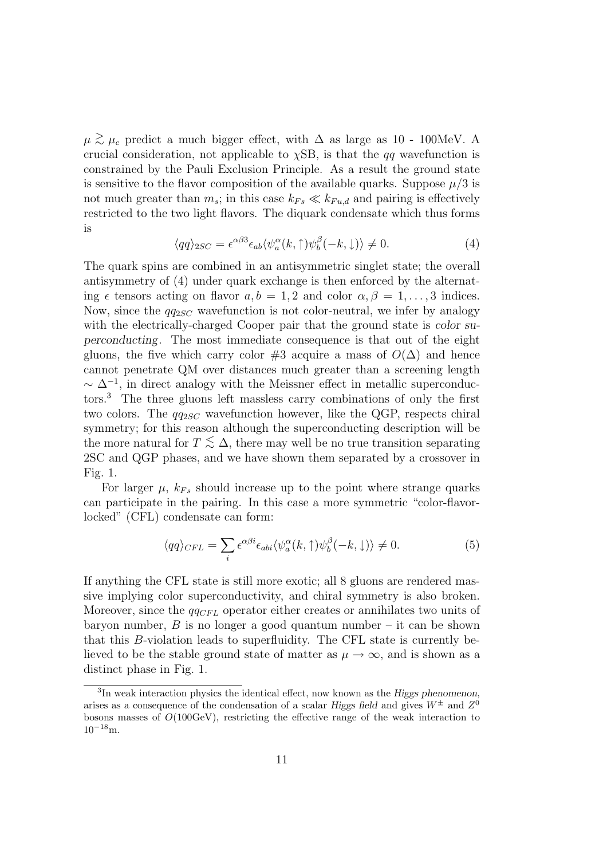$\mu \gtrsim \mu_c$  predict a much bigger effect, with  $\Delta$  as large as 10 - 100MeV. A crucial consideration, not applicable to  $\chi$ SB, is that the *qq* wavefunction is constrained by the Pauli Exclusion Principle. As a result the ground state is sensitive to the flavor composition of the available quarks. Suppose  $\mu/3$  is not much greater than  $m_s$ ; in this case  $k_{Fs} \ll k_{Fu,d}$  and pairing is effectively restricted to the two light flavors. The diquark condensate which thus forms is

$$
\langle qq \rangle_{2SC} = \epsilon^{\alpha\beta 3} \epsilon_{ab} \langle \psi_a^{\alpha}(k,\uparrow) \psi_b^{\beta}(-k,\downarrow) \rangle \neq 0. \tag{4}
$$

The quark spins are combined in an antisymmetric singlet state; the overall antisymmetry of (4) under quark exchange is then enforced by the alternating  $\epsilon$  tensors acting on flavor  $a,b = 1, 2$  and color  $\alpha, \beta = 1, \ldots, 3$  indices. Now, since the  $qq_{2SC}$  wavefunction is not color-neutral, we infer by analogy with the electrically-charged Cooper pair that the ground state is *color su*perconducting. The most immediate consequence is that out of the eight gluons, the five which carry color #3 acquire a mass of  $O(\Delta)$  and hence cannot penetrate QM over distances much greater than a screening length  $\sim \Delta^{-1}$ , in direct analogy with the Meissner effect in metallic superconductors.<sup>3</sup> The three gluons left massless carry combinations of only the first two colors. The  $qq_{2SC}$  wavefunction however, like the QGP, respects chiral symmetry; for this reason although the superconducting description will be the more natural for  $T \leq \Delta$ , there may well be no true transition separating 2SC and QGP phases, and we have shown them separated by a crossover in Fig. 1.

For larger  $\mu$ ,  $k_{Fs}$  should increase up to the point where strange quarks can participate in the pairing. In this case a more symmetric "color-flavorlocked" (CFL) condensate can form:

$$
\langle qq \rangle_{CFL} = \sum_{i} \epsilon^{\alpha \beta i} \epsilon_{abi} \langle \psi_a^{\alpha}(k, \uparrow) \psi_b^{\beta}(-k, \downarrow) \rangle \neq 0. \tag{5}
$$

If anything the CFL state is still more exotic; all 8 gluons are rendered massive implying color superconductivity, and chiral symmetry is also broken. Moreover, since the  $qq_{CFL}$  operator either creates or annihilates two units of baryon number,  $B$  is no longer a good quantum number – it can be shown that this B-violation leads to superfluidity. The CFL state is currently believed to be the stable ground state of matter as  $\mu \to \infty$ , and is shown as a distinct phase in Fig. 1.

<sup>&</sup>lt;sup>3</sup>In weak interaction physics the identical effect, now known as the Higgs phenomenon, arises as a consequence of the condensation of a scalar Higgs field and gives  $W^{\pm}$  and  $Z^{0}$ bosons masses of  $O(100 \text{GeV})$ , restricting the effective range of the weak interaction to  $10^{-18}$ m.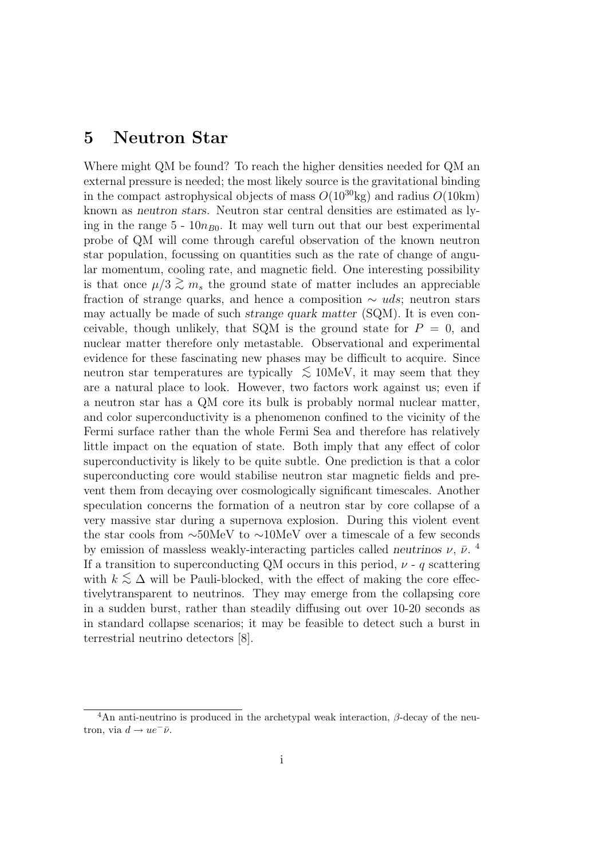## 5 Neutron Star

Where might QM be found? To reach the higher densities needed for QM an external pressure is needed; the most likely source is the gravitational binding in the compact astrophysical objects of mass  $O(10^{30} \text{kg})$  and radius  $O(10 \text{km})$ known as neutron stars. Neutron star central densities are estimated as lying in the range  $5 - 10n_{B0}$ . It may well turn out that our best experimental probe of QM will come through careful observation of the known neutron star population, focussing on quantities such as the rate of change of angular momentum, cooling rate, and magnetic field. One interesting possibility is that once  $\mu/3 \gtrsim m_s$ , the ground state of matter includes an appreciable fraction of strange quarks, and hence a composition  $\sim u ds$ ; neutron stars may actually be made of such strange quark matter (SQM). It is even conceivable, though unlikely, that SQM is the ground state for  $P = 0$ , and nuclear matter therefore only metastable. Observational and experimental evidence for these fascinating new phases may be difficult to acquire. Since neutron star temperatures are typically  $\lesssim 10$ MeV, it may seem that they are a natural place to look. However, two factors work against us; even if a neutron star has a QM core its bulk is probably normal nuclear matter, and color superconductivity is a phenomenon confined to the vicinity of the Fermi surface rather than the whole Fermi Sea and therefore has relatively little impact on the equation of state. Both imply that any effect of color superconductivity is likely to be quite subtle. One prediction is that a color superconducting core would stabilise neutron star magnetic fields and prevent them from decaying over cosmologically significant timescales. Another speculation concerns the formation of a neutron star by core collapse of a very massive star during a supernova explosion. During this violent event the star cools from ∼50MeV to ∼10MeV over a timescale of a few seconds by emission of massless weakly-interacting particles called neutrinos  $\nu$ ,  $\bar{\nu}$ . If a transition to superconducting QM occurs in this period,  $\nu$  - q scattering with  $k \lesssim \Delta$  will be Pauli-blocked, with the effect of making the core effectivelytransparent to neutrinos. They may emerge from the collapsing core in a sudden burst, rather than steadily diffusing out over 10-20 seconds as in standard collapse scenarios; it may be feasible to detect such a burst in terrestrial neutrino detectors [8].

<sup>&</sup>lt;sup>4</sup>An anti-neutrino is produced in the archetypal weak interaction,  $β$ -decay of the neutron, via  $d \rightarrow ue^{-}\bar{\nu}$ .